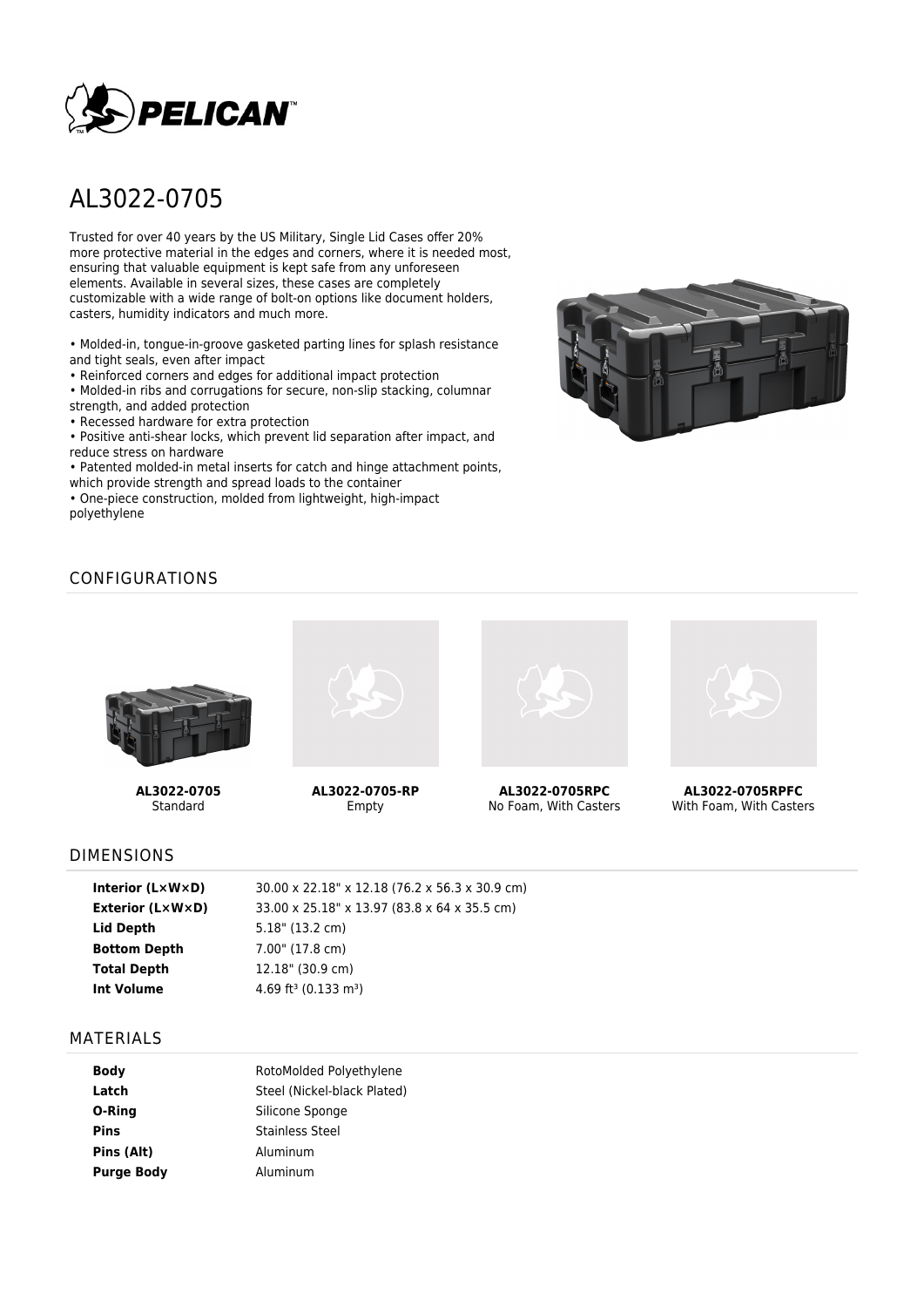

# AL3022-0705

Trusted for over 40 years by the US Military, Single Lid Cases offer 20% more protective material in the edges and corners, where it is needed most, ensuring that valuable equipment is kept safe from any unforeseen elements. Available in several sizes, these cases are completely customizable with a wide range of bolt-on options like document holders, casters, humidity indicators and much more.

• Molded-in, tongue-in-groove gasketed parting lines for splash resistance and tight seals, even after impact

• Reinforced corners and edges for additional impact protection

• Molded-in ribs and corrugations for secure, non-slip stacking, columnar strength, and added protection

• Recessed hardware for extra protection

• Positive anti-shear locks, which prevent lid separation after impact, and reduce stress on hardware

• Patented molded-in metal inserts for catch and hinge attachment points, which provide strength and spread loads to the container

• One-piece construction, molded from lightweight, high-impact polyethylene



# CONFIGURATIONS



**AL3022-0705** Standard



**AL3022-0705-RP** Empty



**AL3022-0705RPC** No Foam, With Casters



**AL3022-0705RPFC** With Foam, With Casters

#### DIMENSIONS

| Interior $(L \times W \times D)$ | 30.00 x 22.18" x 12.18 (76.2 x 56.3 x 30.9 cm) |
|----------------------------------|------------------------------------------------|
| Exterior (L×W×D)                 | 33.00 x 25.18" x 13.97 (83.8 x 64 x 35.5 cm)   |
| Lid Depth                        | $5.18$ " (13.2 cm)                             |
| <b>Bottom Depth</b>              | 7.00" (17.8 cm)                                |
| <b>Total Depth</b>               | 12.18" (30.9 cm)                               |
| Int Volume                       | 4.69 ft <sup>3</sup> (0.133 m <sup>3</sup> )   |
|                                  |                                                |

#### MATERIALS

| <b>Body</b>       | RotoMolded Polyethylene     |  |  |
|-------------------|-----------------------------|--|--|
| Latch             | Steel (Nickel-black Plated) |  |  |
| O-Ring            | Silicone Sponge             |  |  |
| <b>Pins</b>       | <b>Stainless Steel</b>      |  |  |
| Pins (Alt)        | Aluminum                    |  |  |
| <b>Purge Body</b> | Aluminum                    |  |  |
|                   |                             |  |  |